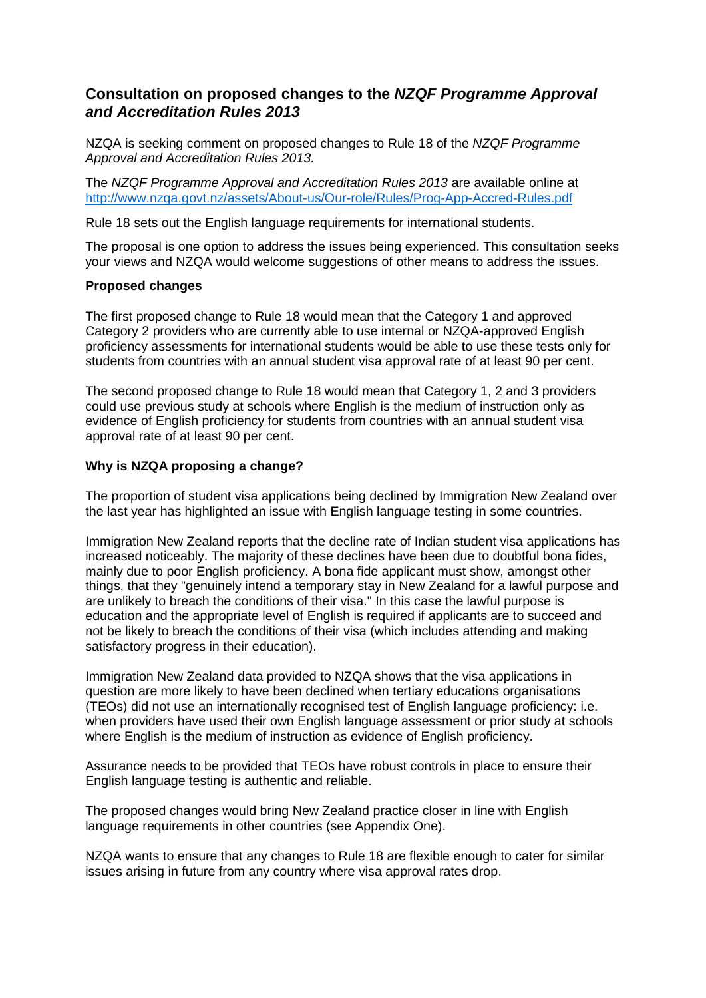# **Consultation on proposed changes to the** *NZQF Programme Approval and Accreditation Rules 2013*

NZQA is seeking comment on proposed changes to Rule 18 of the *NZQF Programme Approval and Accreditation Rules 2013.*

The *NZQF Programme Approval and Accreditation Rules 2013* are available online at <http://www.nzqa.govt.nz/assets/About-us/Our-role/Rules/Prog-App-Accred-Rules.pdf>

Rule 18 sets out the English language requirements for international students.

The proposal is one option to address the issues being experienced. This consultation seeks your views and NZQA would welcome suggestions of other means to address the issues.

### **Proposed changes**

The first proposed change to Rule 18 would mean that the Category 1 and approved Category 2 providers who are currently able to use internal or NZQA-approved English proficiency assessments for international students would be able to use these tests only for students from countries with an annual student visa approval rate of at least 90 per cent.

The second proposed change to Rule 18 would mean that Category 1, 2 and 3 providers could use previous study at schools where English is the medium of instruction only as evidence of English proficiency for students from countries with an annual student visa approval rate of at least 90 per cent.

### **Why is NZQA proposing a change?**

The proportion of student visa applications being declined by Immigration New Zealand over the last year has highlighted an issue with English language testing in some countries.

Immigration New Zealand reports that the decline rate of Indian student visa applications has increased noticeably. The majority of these declines have been due to doubtful bona fides, mainly due to poor English proficiency. A bona fide applicant must show, amongst other things, that they "genuinely intend a temporary stay in New Zealand for a lawful purpose and are unlikely to breach the conditions of their visa." In this case the lawful purpose is education and the appropriate level of English is required if applicants are to succeed and not be likely to breach the conditions of their visa (which includes attending and making satisfactory progress in their education).

Immigration New Zealand data provided to NZQA shows that the visa applications in question are more likely to have been declined when tertiary educations organisations (TEOs) did not use an internationally recognised test of English language proficiency: i.e. when providers have used their own English language assessment or prior study at schools where English is the medium of instruction as evidence of English proficiency.

Assurance needs to be provided that TEOs have robust controls in place to ensure their English language testing is authentic and reliable.

The proposed changes would bring New Zealand practice closer in line with English language requirements in other countries (see Appendix One).

NZQA wants to ensure that any changes to Rule 18 are flexible enough to cater for similar issues arising in future from any country where visa approval rates drop.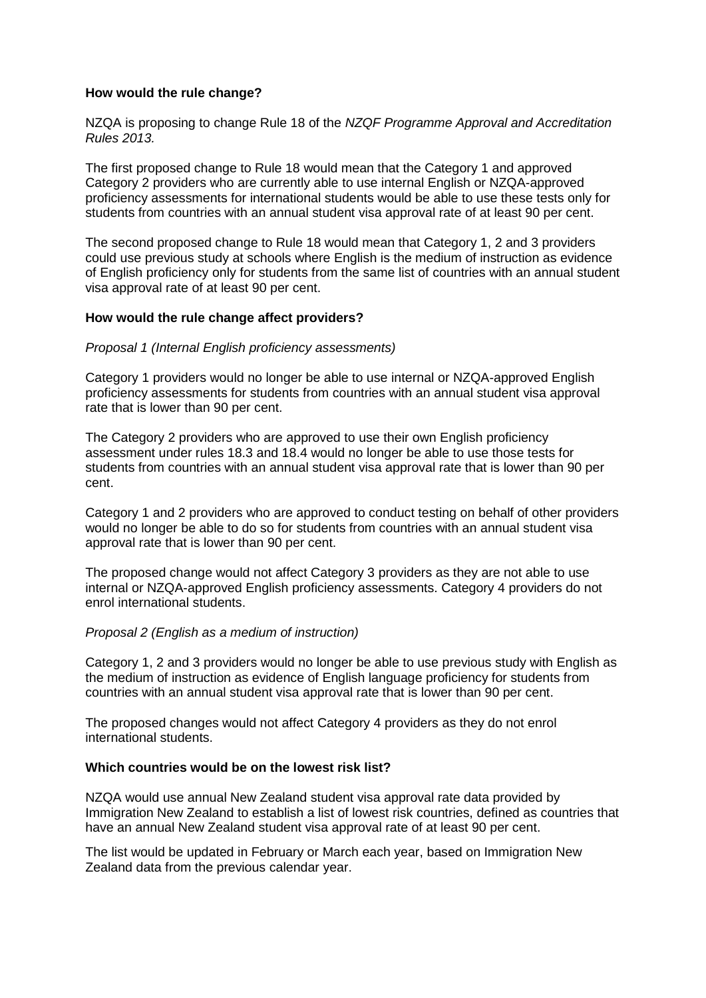### **How would the rule change?**

NZQA is proposing to change Rule 18 of the *NZQF Programme Approval and Accreditation Rules 2013.*

The first proposed change to Rule 18 would mean that the Category 1 and approved Category 2 providers who are currently able to use internal English or NZQA-approved proficiency assessments for international students would be able to use these tests only for students from countries with an annual student visa approval rate of at least 90 per cent.

The second proposed change to Rule 18 would mean that Category 1, 2 and 3 providers could use previous study at schools where English is the medium of instruction as evidence of English proficiency only for students from the same list of countries with an annual student visa approval rate of at least 90 per cent.

#### **How would the rule change affect providers?**

#### *Proposal 1 (Internal English proficiency assessments)*

Category 1 providers would no longer be able to use internal or NZQA-approved English proficiency assessments for students from countries with an annual student visa approval rate that is lower than 90 per cent.

The Category 2 providers who are approved to use their own English proficiency assessment under rules 18.3 and 18.4 would no longer be able to use those tests for students from countries with an annual student visa approval rate that is lower than 90 per cent.

Category 1 and 2 providers who are approved to conduct testing on behalf of other providers would no longer be able to do so for students from countries with an annual student visa approval rate that is lower than 90 per cent.

The proposed change would not affect Category 3 providers as they are not able to use internal or NZQA-approved English proficiency assessments. Category 4 providers do not enrol international students.

#### *Proposal 2 (English as a medium of instruction)*

Category 1, 2 and 3 providers would no longer be able to use previous study with English as the medium of instruction as evidence of English language proficiency for students from countries with an annual student visa approval rate that is lower than 90 per cent.

The proposed changes would not affect Category 4 providers as they do not enrol international students.

#### **Which countries would be on the lowest risk list?**

NZQA would use annual New Zealand student visa approval rate data provided by Immigration New Zealand to establish a list of lowest risk countries, defined as countries that have an annual New Zealand student visa approval rate of at least 90 per cent.

The list would be updated in February or March each year, based on Immigration New Zealand data from the previous calendar year.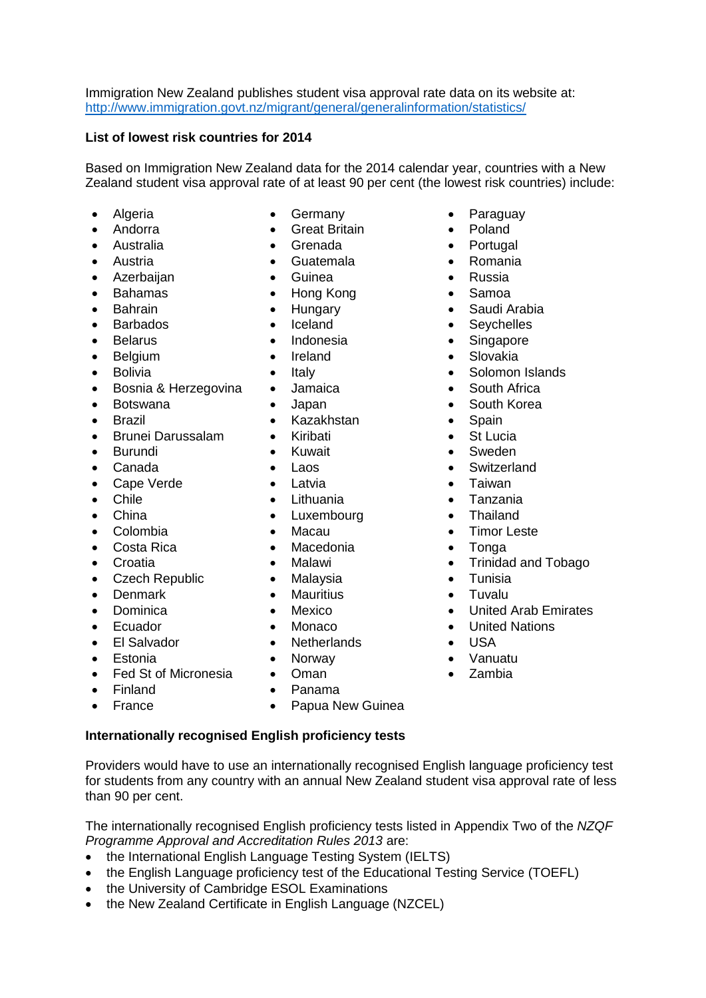Immigration New Zealand publishes student visa approval rate data on its website at: <http://www.immigration.govt.nz/migrant/general/generalinformation/statistics/>

### **List of lowest risk countries for 2014**

Based on Immigration New Zealand data for the 2014 calendar year, countries with a New Zealand student visa approval rate of at least 90 per cent (the lowest risk countries) include:

- 
- 
- 
- 
- Azerbaijan Guinea Russia
- 
- 
- 
- 
- 
- 
- Bosnia & Herzegovina Jamaica South Africa
- 
- 
- Brunei Darussalam Kiribati St Lucia
- 
- 
- Cape Verde **Cape Verde Cape Verde Cape Verde Cape Verde Cape Verde Cape Verde Cape Verde CA**
- 
- 
- 
- Costa Rica Macedonia Tonga
- 
- **•** Czech Republic Malaysia Tunisia<br>• Denmark Mauritius Tunghu
- 
- 
- 
- 
- 
- Fed St of Micronesia Oman Zambia
- 
- 
- Algeria  **Germany Paraguay** 
	- Andorra **Calculation C**reat Britain **Calculation Poland**
	- Australia **Company Australia Company Australia Company Australia Company Australia Company Australia**
- Austria Guatemala Romania
	-
	- Bahamas Hong Kong Samoa
		-
		-
		-
		-
		-
		-
		-
- Brazil Kazakhstan Spain
	-
	-
	-
	-
	-
- China Luxembourg Thailand
	-
	-
	-
	-
- Denmark Mauritius Tuvalu
	-
- Ecuador Monaco United Nations
	- El Salvador **Contract Contract Contract Contract Contract Contract Contract Contract Contract Contract Contract Contract Contract Contract Contract Contract Contract Contract Contract Contract Contract Contract Contract Co**
	- Estonia **Canadia Norway Canuatu Canuatu Canuatu** 
		-
- Finland Panama
	- France Papua New Guinea

### **Internationally recognised English proficiency tests**

Providers would have to use an internationally recognised English language proficiency test for students from any country with an annual New Zealand student visa approval rate of less than 90 per cent.

The internationally recognised English proficiency tests listed in Appendix Two of the *NZQF Programme Approval and Accreditation Rules 2013* are:

- the International English Language Testing System (IELTS)
- the English Language proficiency test of the Educational Testing Service (TOEFL)
- the University of Cambridge ESOL Examinations
- the New Zealand Certificate in English Language (NZCEL)
- 
- 
- 
- 
- 
- 
- Bahrain **•** Hungary Saudi Arabia
- Barbados Iceland Seychelles
- Belarus Indonesia Singapore
	- Belgium **•** Ireland Slovakia
	- Bolivia **Contract Contract Contract Contract Contract Contract Contract Contract Contract Contract Contract Contract Contract Contract Contract Contract Contract Contract Contract Contract Contract Contract Contract Contra** 
		-
- Botswana Japan South Korea
	-
	-
	- Burundi Kuwait Sweden
- Canada Laos Switzerland
	-
	- Chile **Chile Lithuania Chile Tanzania** 
		-
	- Colombia **·** Macau **·** Timor Leste
		-
- Croatia Malawi Trinidad and Tobago
	-
	-
- Dominica Mexico United Arab Emirates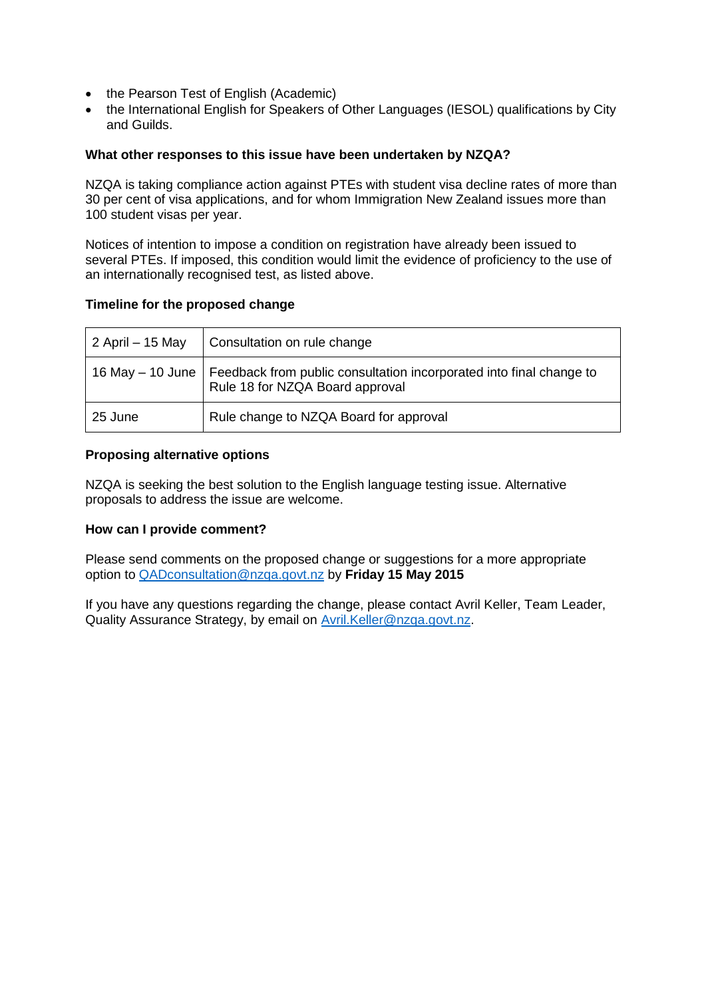- the Pearson Test of English (Academic)
- the International English for Speakers of Other Languages (IESOL) qualifications by City and Guilds.

### **What other responses to this issue have been undertaken by NZQA?**

NZQA is taking compliance action against PTEs with student visa decline rates of more than 30 per cent of visa applications, and for whom Immigration New Zealand issues more than 100 student visas per year.

Notices of intention to impose a condition on registration have already been issued to several PTEs. If imposed, this condition would limit the evidence of proficiency to the use of an internationally recognised test, as listed above.

## **Timeline for the proposed change**

| 2 April – 15 May | Consultation on rule change                                                                                               |
|------------------|---------------------------------------------------------------------------------------------------------------------------|
|                  | 16 May – 10 June   Feedback from public consultation incorporated into final change to<br>Rule 18 for NZQA Board approval |
| 25 June          | Rule change to NZQA Board for approval                                                                                    |

### **Proposing alternative options**

NZQA is seeking the best solution to the English language testing issue. Alternative proposals to address the issue are welcome.

### **How can I provide comment?**

Please send comments on the proposed change or suggestions for a more appropriate option to [QADconsultation@nzqa.govt.nz](mailto:QADconsultation@nzqa.govt.nz) by **Friday 15 May 2015**

If you have any questions regarding the change, please contact Avril Keller, Team Leader, Quality Assurance Strategy, by email on Avril. Keller@nzga.govt.nz.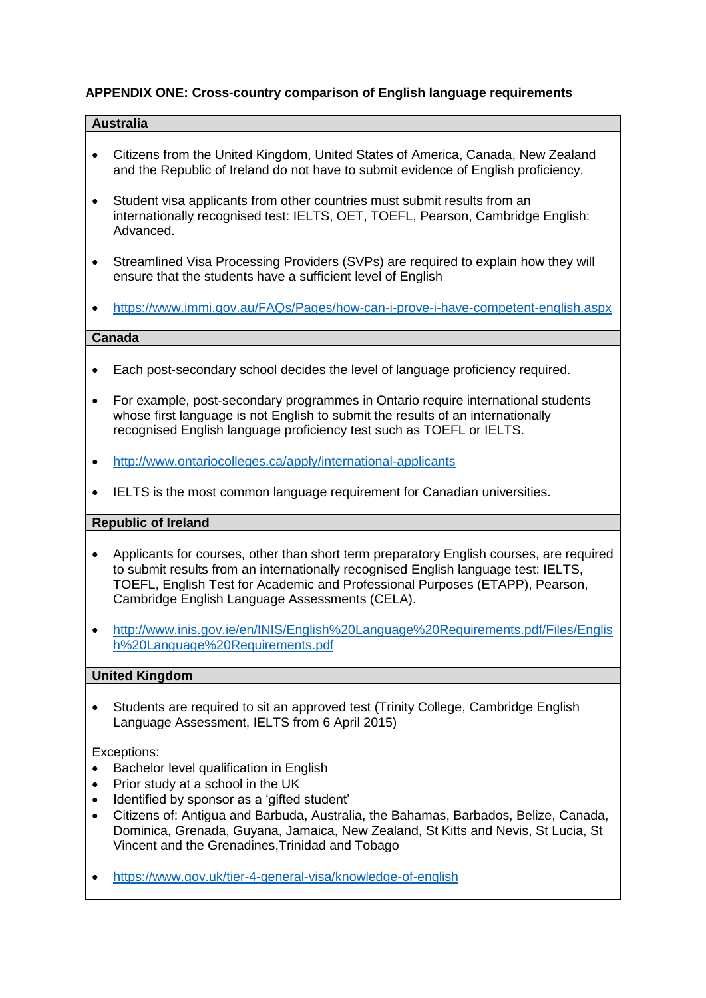## **APPENDIX ONE: Cross-country comparison of English language requirements**

### **Australia**

- Citizens from the United Kingdom, United States of America, Canada, New Zealand and the Republic of Ireland do not have to submit evidence of English proficiency.
- Student visa applicants from other countries must submit results from an internationally recognised test: IELTS, OET, TOEFL, Pearson, Cambridge English: Advanced.
- Streamlined Visa Processing Providers (SVPs) are required to explain how they will ensure that the students have a sufficient level of English
- <https://www.immi.gov.au/FAQs/Pages/how-can-i-prove-i-have-competent-english.aspx>

### **Canada**

- Each post-secondary school decides the level of language proficiency required.
- For example, post-secondary programmes in Ontario require international students whose first language is not English to submit the results of an internationally recognised English language proficiency test such as TOEFL or IELTS.
- <http://www.ontariocolleges.ca/apply/international-applicants>
- IELTS is the most common language requirement for Canadian universities.

#### **Republic of Ireland**

- Applicants for courses, other than short term preparatory English courses, are required to submit results from an internationally recognised English language test: IELTS, TOEFL, English Test for Academic and Professional Purposes (ETAPP), Pearson, Cambridge English Language Assessments (CELA).
- [http://www.inis.gov.ie/en/INIS/English%20Language%20Requirements.pdf/Files/Englis](http://www.inis.gov.ie/en/INIS/English%20Language%20Requirements.pdf/Files/English%20Language%20Requirements.pdf) [h%20Language%20Requirements.pdf](http://www.inis.gov.ie/en/INIS/English%20Language%20Requirements.pdf/Files/English%20Language%20Requirements.pdf)

### **United Kingdom**

 Students are required to sit an approved test (Trinity College, Cambridge English Language Assessment, IELTS from 6 April 2015)

#### Exceptions:

- Bachelor level qualification in English
- Prior study at a school in the UK
- Identified by sponsor as a 'gifted student'
- Citizens of: Antigua and Barbuda, Australia, the Bahamas, Barbados, Belize, Canada, Dominica, Grenada, Guyana, Jamaica, New Zealand, St Kitts and Nevis, St Lucia, St Vincent and the Grenadines,Trinidad and Tobago
- <https://www.gov.uk/tier-4-general-visa/knowledge-of-english>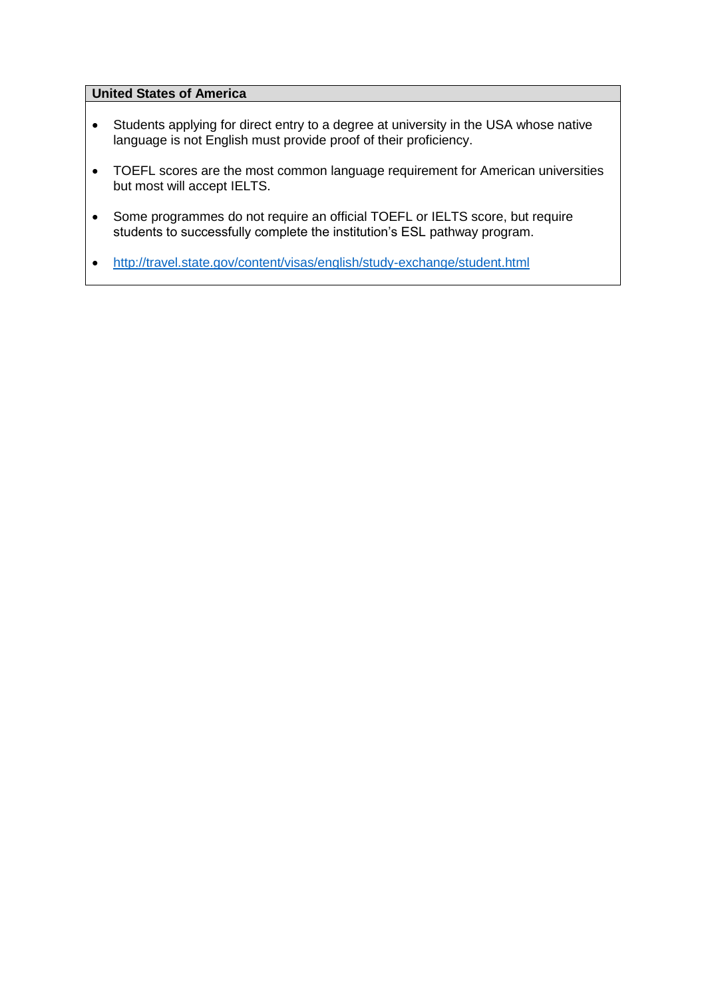## **United States of America**

- Students applying for direct entry to a degree at university in the USA whose native language is not English must provide proof of their proficiency.
- TOEFL scores are the most common language requirement for American universities but most will accept IELTS.
- Some programmes do not require an official TOEFL or IELTS score, but require students to successfully complete the institution's ESL pathway program.
- <http://travel.state.gov/content/visas/english/study-exchange/student.html>